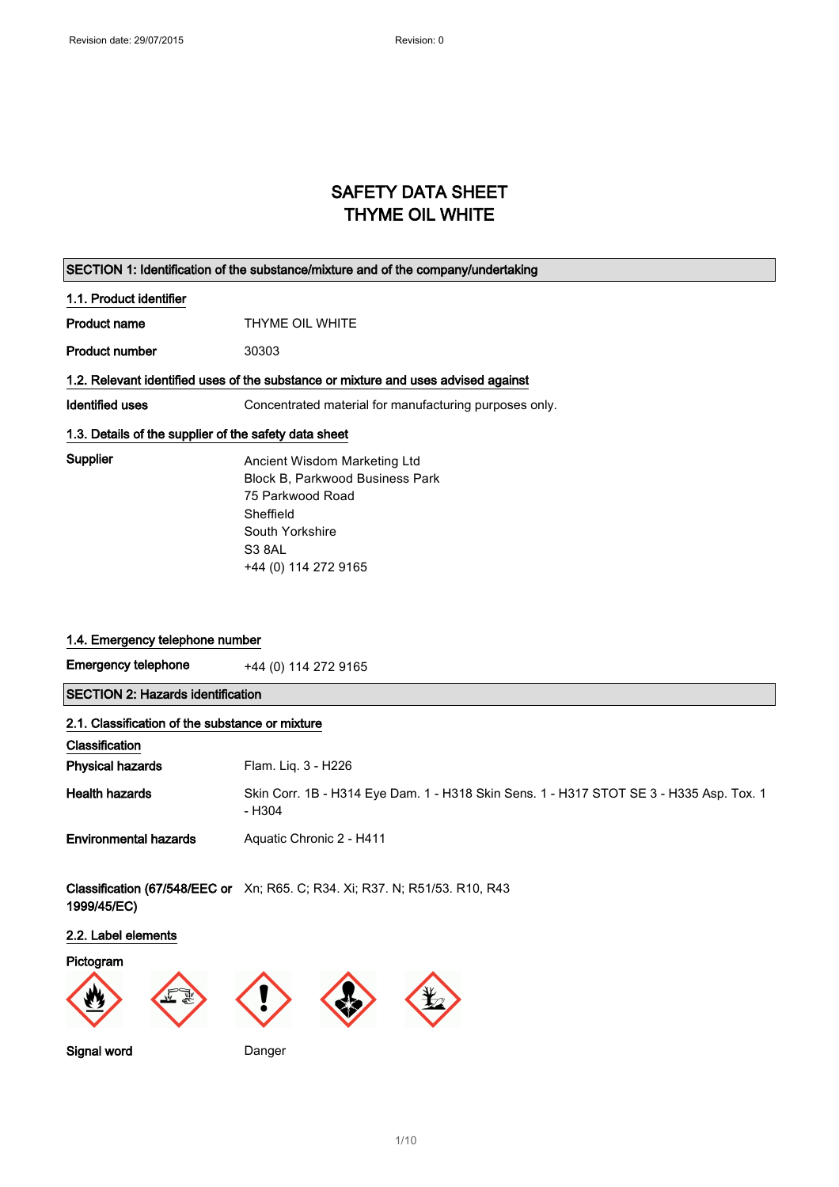## SAFETY DATA SHEET THYME OIL WHITE

|                         | SECTION 1: Identification of the substance/mixture and of the company/undertaking  |
|-------------------------|------------------------------------------------------------------------------------|
| 1.1. Product identifier |                                                                                    |
| <b>Product name</b>     | THYME OIL WHITE                                                                    |
| <b>Product number</b>   | 30303                                                                              |
|                         | 1.2. Relevant identified uses of the substance or mixture and uses advised against |
| Identified uses         | Concentrated material for manufacturing purposes only.                             |
|                         | 1.3. Details of the supplier of the safety data sheet                              |
| Supplier                | Ancient Wisdom Marketing Ltd                                                       |
|                         | <b>Block B. Parkwood Business Park</b>                                             |
|                         | 75 Parkwood Road                                                                   |
|                         | Sheffield                                                                          |
|                         | South Yorkshire                                                                    |
|                         | S <sub>3</sub> 8AL                                                                 |
|                         | +44 (0) 114 272 9165                                                               |

## 1.4. Emergency telephone number

Emergency telephone  $+44$  (0) 114 272 9165

SECTION 2: Hazards identification

| 2.1. Classification of the substance or mixture |                                                                                                   |  |
|-------------------------------------------------|---------------------------------------------------------------------------------------------------|--|
| Classification                                  |                                                                                                   |  |
| <b>Physical hazards</b>                         | Flam. Lig. 3 - H226                                                                               |  |
| <b>Health hazards</b>                           | Skin Corr. 1B - H314 Eye Dam. 1 - H318 Skin Sens. 1 - H317 STOT SE 3 - H335 Asp. Tox. 1<br>- H304 |  |
| <b>Environmental hazards</b>                    | Aquatic Chronic 2 - H411                                                                          |  |

**Classification (67/548/EEC or** Xn; R65. C; R34. Xi; R37. N; R51/53. R10, R43 1999/45/EC)

## 2.2. Label elements

## Pictogram











Signal word Danger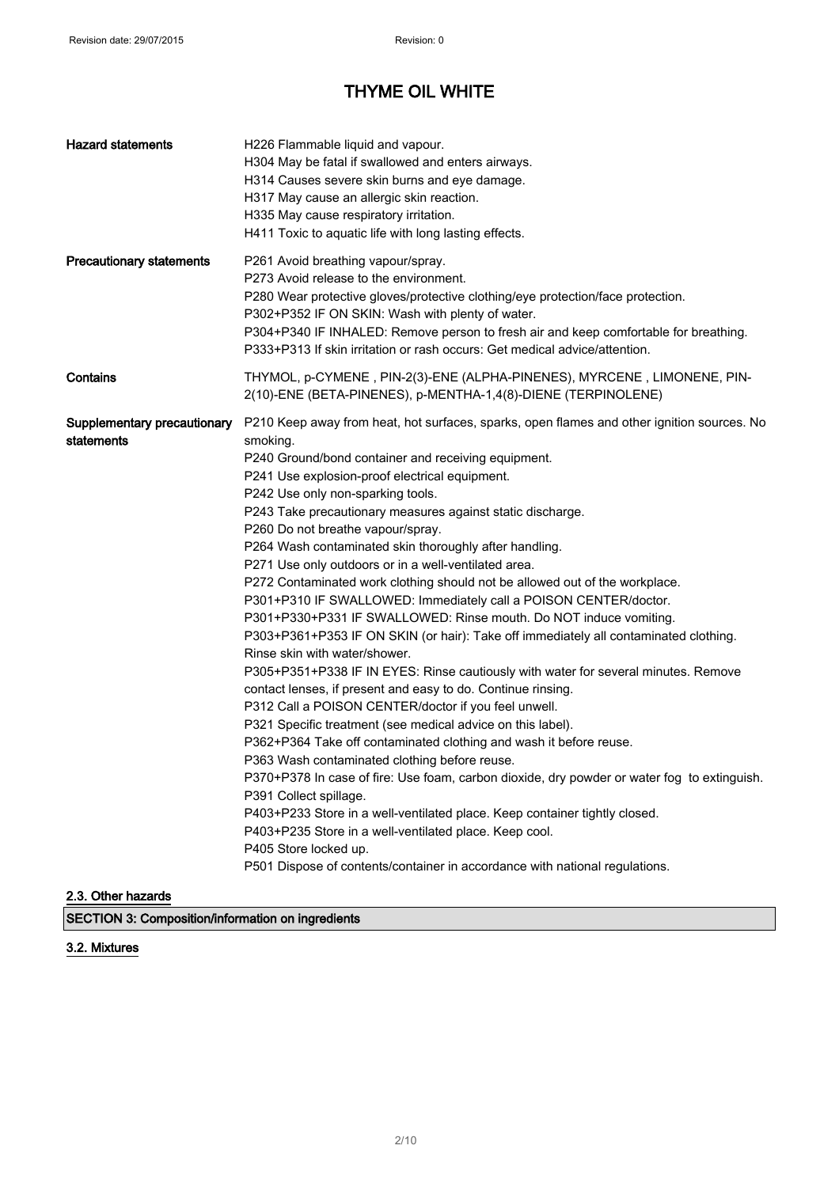| <b>Hazard statements</b>                  | H226 Flammable liquid and vapour.<br>H304 May be fatal if swallowed and enters airways.<br>H314 Causes severe skin burns and eye damage.<br>H317 May cause an allergic skin reaction.<br>H335 May cause respiratory irritation.<br>H411 Toxic to aquatic life with long lasting effects.                                                                                                                                                                                                                                                                                                                                                                                                                                                                                                                                                                                                                                                                                                                                                                                                                                                                                                                                                                                                                                                                                                                                                                                                                                                                                                                |
|-------------------------------------------|---------------------------------------------------------------------------------------------------------------------------------------------------------------------------------------------------------------------------------------------------------------------------------------------------------------------------------------------------------------------------------------------------------------------------------------------------------------------------------------------------------------------------------------------------------------------------------------------------------------------------------------------------------------------------------------------------------------------------------------------------------------------------------------------------------------------------------------------------------------------------------------------------------------------------------------------------------------------------------------------------------------------------------------------------------------------------------------------------------------------------------------------------------------------------------------------------------------------------------------------------------------------------------------------------------------------------------------------------------------------------------------------------------------------------------------------------------------------------------------------------------------------------------------------------------------------------------------------------------|
| <b>Precautionary statements</b>           | P261 Avoid breathing vapour/spray.<br>P273 Avoid release to the environment.<br>P280 Wear protective gloves/protective clothing/eye protection/face protection.<br>P302+P352 IF ON SKIN: Wash with plenty of water.<br>P304+P340 IF INHALED: Remove person to fresh air and keep comfortable for breathing.<br>P333+P313 If skin irritation or rash occurs: Get medical advice/attention.                                                                                                                                                                                                                                                                                                                                                                                                                                                                                                                                                                                                                                                                                                                                                                                                                                                                                                                                                                                                                                                                                                                                                                                                               |
| Contains                                  | THYMOL, p-CYMENE, PIN-2(3)-ENE (ALPHA-PINENES), MYRCENE, LIMONENE, PIN-<br>2(10)-ENE (BETA-PINENES), p-MENTHA-1,4(8)-DIENE (TERPINOLENE)                                                                                                                                                                                                                                                                                                                                                                                                                                                                                                                                                                                                                                                                                                                                                                                                                                                                                                                                                                                                                                                                                                                                                                                                                                                                                                                                                                                                                                                                |
| Supplementary precautionary<br>statements | P210 Keep away from heat, hot surfaces, sparks, open flames and other ignition sources. No<br>smoking.<br>P240 Ground/bond container and receiving equipment.<br>P241 Use explosion-proof electrical equipment.<br>P242 Use only non-sparking tools.<br>P243 Take precautionary measures against static discharge.<br>P260 Do not breathe vapour/spray.<br>P264 Wash contaminated skin thoroughly after handling.<br>P271 Use only outdoors or in a well-ventilated area.<br>P272 Contaminated work clothing should not be allowed out of the workplace.<br>P301+P310 IF SWALLOWED: Immediately call a POISON CENTER/doctor.<br>P301+P330+P331 IF SWALLOWED: Rinse mouth. Do NOT induce vomiting.<br>P303+P361+P353 IF ON SKIN (or hair): Take off immediately all contaminated clothing.<br>Rinse skin with water/shower.<br>P305+P351+P338 IF IN EYES: Rinse cautiously with water for several minutes. Remove<br>contact lenses, if present and easy to do. Continue rinsing.<br>P312 Call a POISON CENTER/doctor if you feel unwell.<br>P321 Specific treatment (see medical advice on this label).<br>P362+P364 Take off contaminated clothing and wash it before reuse.<br>P363 Wash contaminated clothing before reuse.<br>P370+P378 In case of fire: Use foam, carbon dioxide, dry powder or water fog to extinguish.<br>P391 Collect spillage.<br>P403+P233 Store in a well-ventilated place. Keep container tightly closed.<br>P403+P235 Store in a well-ventilated place. Keep cool.<br>P405 Store locked up.<br>P501 Dispose of contents/container in accordance with national regulations. |

2.3. Other hazards

SECTION 3: Composition/information on ingredients

## 3.2. Mixtures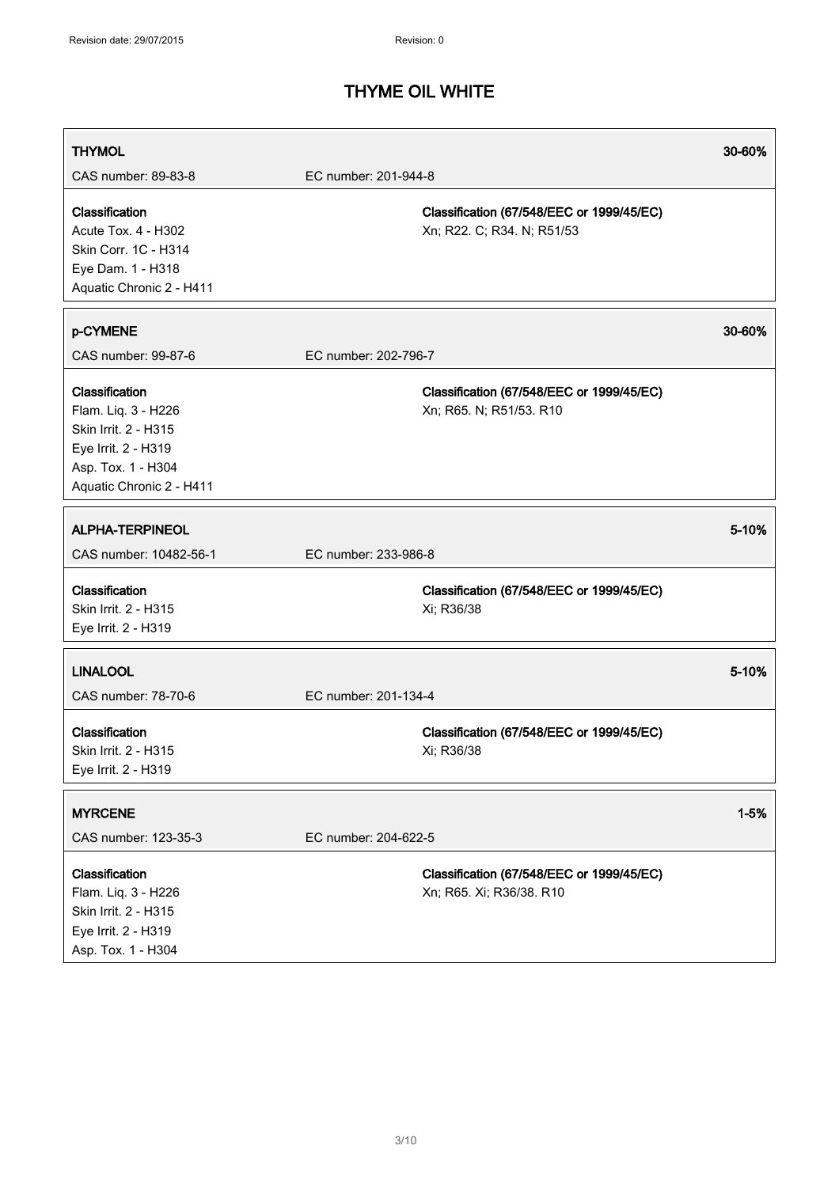| <b>THYMOL</b>                                                                                                                          |                                                                         | 30-60%   |
|----------------------------------------------------------------------------------------------------------------------------------------|-------------------------------------------------------------------------|----------|
| CAS number: 89-83-8                                                                                                                    | EC number: 201-944-8                                                    |          |
| Classification<br><b>Acute Tox. 4 - H302</b><br>Skin Corr. 1C - H314<br>Eye Dam. 1 - H318<br>Aquatic Chronic 2 - H411                  | Classification (67/548/EEC or 1999/45/EC)<br>Xn; R22. C; R34. N; R51/53 |          |
| p-CYMENE                                                                                                                               |                                                                         | 30-60%   |
| CAS number: 99-87-6                                                                                                                    | EC number: 202-796-7                                                    |          |
| Classification<br>Flam. Liq. 3 - H226<br>Skin Irrit. 2 - H315<br>Eye Irrit. 2 - H319<br>Asp. Tox. 1 - H304<br>Aquatic Chronic 2 - H411 | Classification (67/548/EEC or 1999/45/EC)<br>Xn; R65. N; R51/53. R10    |          |
| <b>ALPHA-TERPINEOL</b>                                                                                                                 |                                                                         | 5-10%    |
| CAS number: 10482-56-1                                                                                                                 | EC number: 233-986-8                                                    |          |
| Classification<br>Skin Irrit. 2 - H315<br>Eye Irrit. 2 - H319                                                                          | Classification (67/548/EEC or 1999/45/EC)<br>Xi; R36/38                 |          |
| <b>LINALOOL</b>                                                                                                                        |                                                                         | 5-10%    |
| CAS number: 78-70-6                                                                                                                    | EC number: 201-134-4                                                    |          |
| Classification<br>Skin Irrit. 2 - H315<br>Eye Irrit. 2 - H319                                                                          | Classification (67/548/EEC or 1999/45/EC)<br>Xi; R36/38                 |          |
| <b>MYRCENE</b>                                                                                                                         |                                                                         | $1 - 5%$ |
| CAS number: 123-35-3                                                                                                                   | EC number: 204-622-5                                                    |          |
| Classification<br>Flam. Liq. 3 - H226<br>Skin Irrit. 2 - H315<br>Eye Irrit. 2 - H319<br>Asp. Tox. 1 - H304                             | Classification (67/548/EEC or 1999/45/EC)<br>Xn; R65. Xi; R36/38. R10   |          |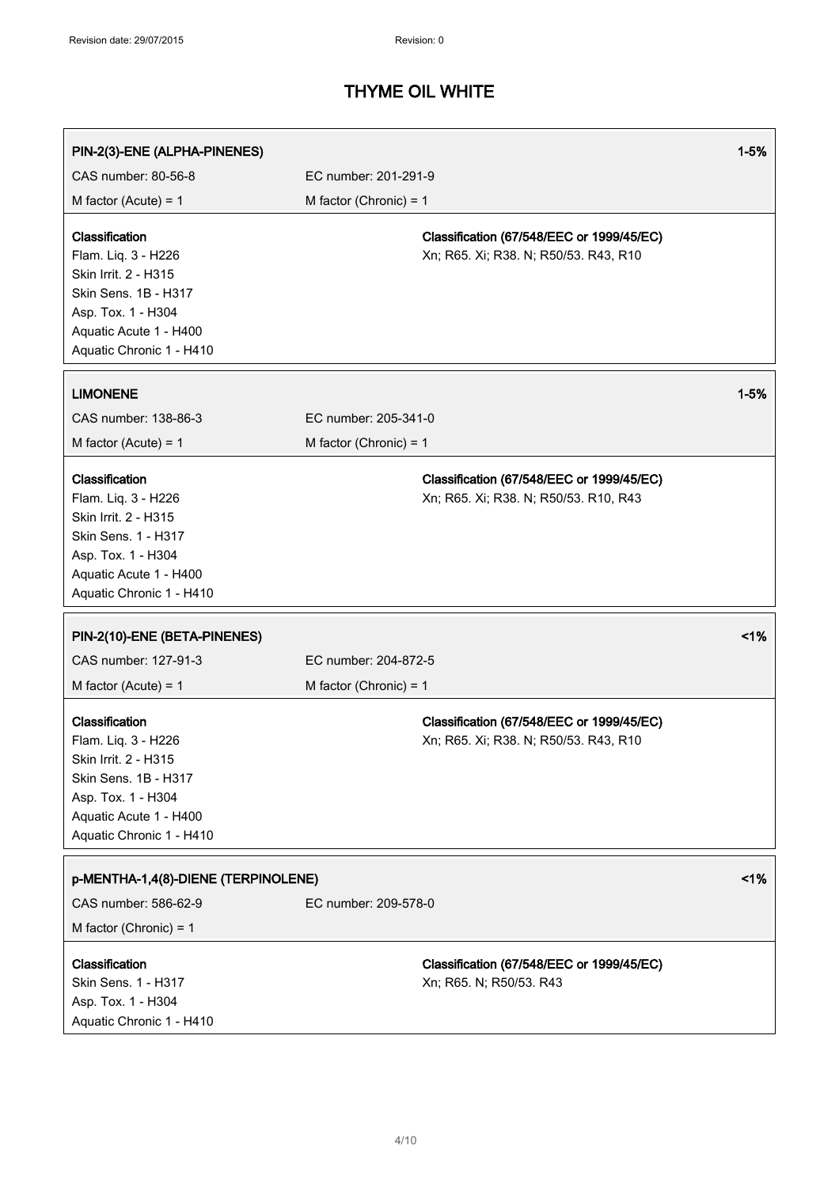| PIN-2(3)-ENE (ALPHA-PINENES)                                                                                                                                      |                          |                                                                                    | $1 - 5%$ |
|-------------------------------------------------------------------------------------------------------------------------------------------------------------------|--------------------------|------------------------------------------------------------------------------------|----------|
| CAS number: 80-56-8                                                                                                                                               | EC number: 201-291-9     |                                                                                    |          |
| M factor (Acute) = $1$                                                                                                                                            | M factor (Chronic) = $1$ |                                                                                    |          |
| Classification<br>Flam. Liq. 3 - H226<br>Skin Irrit. 2 - H315<br>Skin Sens. 1B - H317<br>Asp. Tox. 1 - H304<br>Aquatic Acute 1 - H400<br>Aquatic Chronic 1 - H410 |                          | Classification (67/548/EEC or 1999/45/EC)<br>Xn; R65. Xi; R38. N; R50/53. R43, R10 |          |
| <b>LIMONENE</b>                                                                                                                                                   |                          |                                                                                    | $1 - 5%$ |
| CAS number: 138-86-3                                                                                                                                              | EC number: 205-341-0     |                                                                                    |          |
| M factor (Acute) = $1$                                                                                                                                            | M factor (Chronic) = $1$ |                                                                                    |          |
| Classification<br>Flam. Liq. 3 - H226<br>Skin Irrit. 2 - H315<br>Skin Sens. 1 - H317<br>Asp. Tox. 1 - H304<br>Aquatic Acute 1 - H400<br>Aquatic Chronic 1 - H410  |                          | Classification (67/548/EEC or 1999/45/EC)<br>Xn; R65. Xi; R38. N; R50/53. R10, R43 |          |
| PIN-2(10)-ENE (BETA-PINENES)                                                                                                                                      |                          |                                                                                    | 1%       |
| CAS number: 127-91-3                                                                                                                                              | EC number: 204-872-5     |                                                                                    |          |
| M factor (Acute) = $1$                                                                                                                                            | M factor (Chronic) = $1$ |                                                                                    |          |
| Classification<br>Flam. Liq. 3 - H226<br>Skin Irrit. 2 - H315<br>Skin Sens. 1B - H317<br>Asp. Tox. 1 - H304<br>Aquatic Acute 1 - H400<br>Aquatic Chronic 1 - H410 |                          | Classification (67/548/EEC or 1999/45/EC)<br>Xn; R65. Xi; R38. N; R50/53. R43, R10 |          |
| p-MENTHA-1,4(8)-DIENE (TERPINOLENE)                                                                                                                               |                          |                                                                                    | $1\%$    |
| CAS number: 586-62-9<br>M factor (Chronic) = $1$                                                                                                                  | EC number: 209-578-0     |                                                                                    |          |
| Classification<br>Skin Sens. 1 - H317<br>Asp. Tox. 1 - H304<br>Aquatic Chronic 1 - H410                                                                           |                          | Classification (67/548/EEC or 1999/45/EC)<br>Xn; R65. N; R50/53. R43               |          |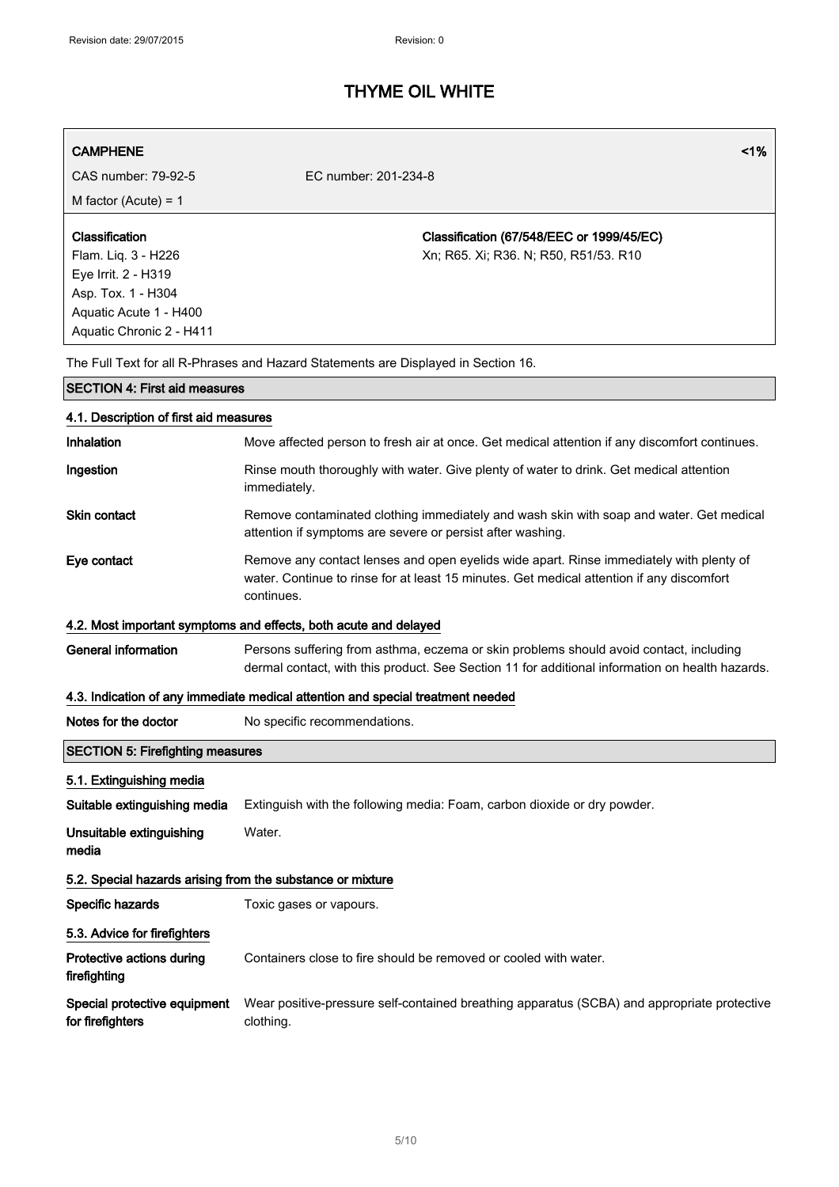| <b>CAMPHENE</b><br>CAS number: 79-92-5                                                                                                   | 1%<br>EC number: 201-234-8                                                                                                                                                                         |  |
|------------------------------------------------------------------------------------------------------------------------------------------|----------------------------------------------------------------------------------------------------------------------------------------------------------------------------------------------------|--|
| M factor (Acute) = $1$                                                                                                                   |                                                                                                                                                                                                    |  |
| Classification<br>Flam. Liq. 3 - H226<br>Eye Irrit. 2 - H319<br>Asp. Tox. 1 - H304<br>Aquatic Acute 1 - H400<br>Aquatic Chronic 2 - H411 | Classification (67/548/EEC or 1999/45/EC)<br>Xn; R65. Xi; R36. N; R50, R51/53. R10                                                                                                                 |  |
|                                                                                                                                          | The Full Text for all R-Phrases and Hazard Statements are Displayed in Section 16.                                                                                                                 |  |
| <b>SECTION 4: First aid measures</b>                                                                                                     |                                                                                                                                                                                                    |  |
| 4.1. Description of first aid measures                                                                                                   |                                                                                                                                                                                                    |  |
| Inhalation                                                                                                                               | Move affected person to fresh air at once. Get medical attention if any discomfort continues.                                                                                                      |  |
| Ingestion                                                                                                                                | Rinse mouth thoroughly with water. Give plenty of water to drink. Get medical attention<br>immediately.                                                                                            |  |
| <b>Skin contact</b>                                                                                                                      | Remove contaminated clothing immediately and wash skin with soap and water. Get medical<br>attention if symptoms are severe or persist after washing.                                              |  |
| Eye contact                                                                                                                              | Remove any contact lenses and open eyelids wide apart. Rinse immediately with plenty of<br>water. Continue to rinse for at least 15 minutes. Get medical attention if any discomfort<br>continues. |  |
|                                                                                                                                          | 4.2. Most important symptoms and effects, both acute and delayed                                                                                                                                   |  |
| <b>General information</b>                                                                                                               | Persons suffering from asthma, eczema or skin problems should avoid contact, including<br>dermal contact, with this product. See Section 11 for additional information on health hazards.          |  |
|                                                                                                                                          | 4.3. Indication of any immediate medical attention and special treatment needed                                                                                                                    |  |
| Notes for the doctor                                                                                                                     | No specific recommendations.                                                                                                                                                                       |  |
| <b>SECTION 5: Firefighting measures</b>                                                                                                  |                                                                                                                                                                                                    |  |
| 5.1. Extinguishing media                                                                                                                 |                                                                                                                                                                                                    |  |
| Suitable extinguishing media                                                                                                             | Extinguish with the following media: Foam, carbon dioxide or dry powder.                                                                                                                           |  |
| Unsuitable extinguishing<br>media                                                                                                        | Water.                                                                                                                                                                                             |  |
| 5.2. Special hazards arising from the substance or mixture                                                                               |                                                                                                                                                                                                    |  |
| Specific hazards                                                                                                                         | Toxic gases or vapours.                                                                                                                                                                            |  |
| 5.3. Advice for firefighters                                                                                                             |                                                                                                                                                                                                    |  |
| Protective actions during<br>firefighting                                                                                                | Containers close to fire should be removed or cooled with water.                                                                                                                                   |  |
| Special protective equipment<br>for firefighters                                                                                         | Wear positive-pressure self-contained breathing apparatus (SCBA) and appropriate protective<br>clothing.                                                                                           |  |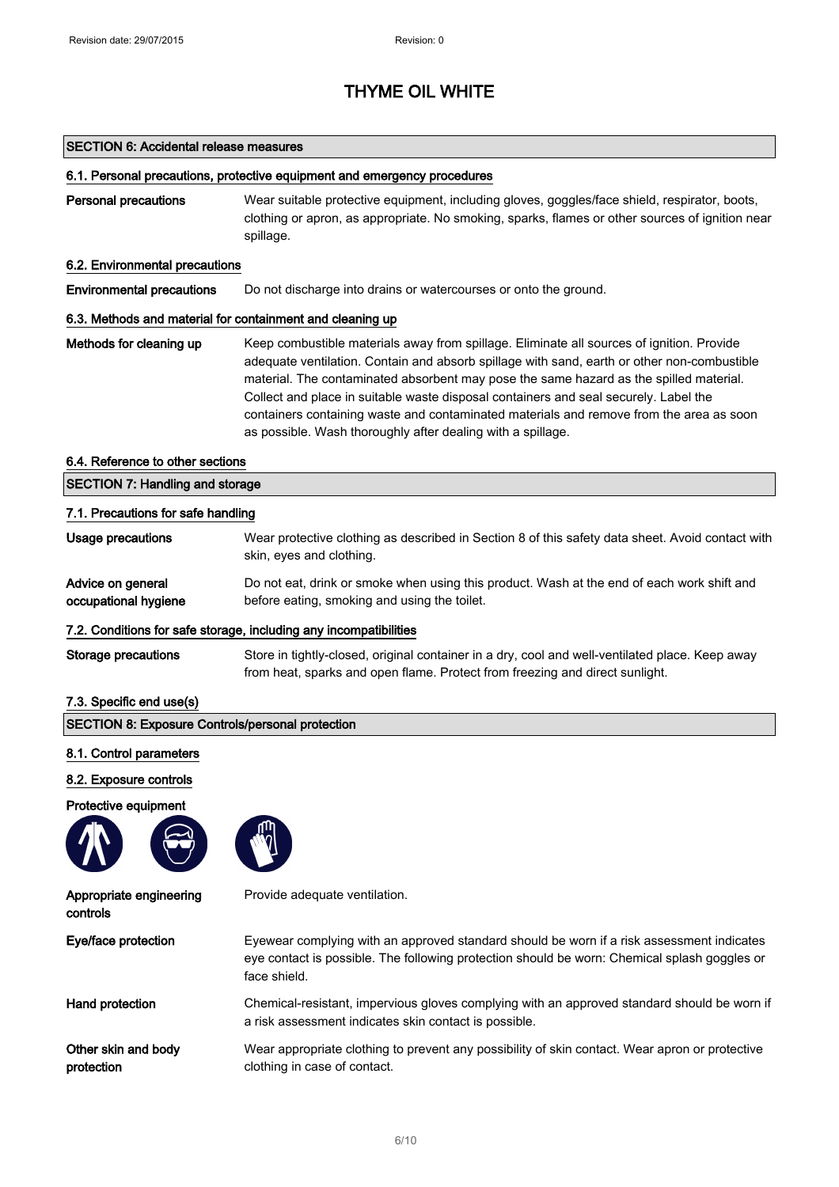#### SECTION 6: Accidental release measures

#### 6.1. Personal precautions, protective equipment and emergency procedures

Personal precautions Wear suitable protective equipment, including gloves, goggles/face shield, respirator, boots, clothing or apron, as appropriate. No smoking, sparks, flames or other sources of ignition near spillage.

### 6.2. Environmental precautions

Environmental precautions Do not discharge into drains or watercourses or onto the ground.

### 6.3. Methods and material for containment and cleaning up

Methods for cleaning up Keep combustible materials away from spillage. Eliminate all sources of ignition. Provide adequate ventilation. Contain and absorb spillage with sand, earth or other non-combustible material. The contaminated absorbent may pose the same hazard as the spilled material. Collect and place in suitable waste disposal containers and seal securely. Label the containers containing waste and contaminated materials and remove from the area as soon as possible. Wash thoroughly after dealing with a spillage.

#### 6.4. Reference to other sections

| <b>SECTION 7: Handling and storage</b><br>7.1. Precautions for safe handling |                                                                                                                                                                                 |  |
|------------------------------------------------------------------------------|---------------------------------------------------------------------------------------------------------------------------------------------------------------------------------|--|
|                                                                              |                                                                                                                                                                                 |  |
| Advice on general<br>occupational hygiene                                    | Do not eat, drink or smoke when using this product. Wash at the end of each work shift and<br>before eating, smoking and using the toilet.                                      |  |
|                                                                              | 7.2. Conditions for safe storage, including any incompatibilities                                                                                                               |  |
| Storage precautions                                                          | Store in tightly-closed, original container in a dry, cool and well-ventilated place. Keep away<br>from heat, sparks and open flame. Protect from freezing and direct sunlight. |  |

### 7.3. Specific end use(s)

| <b>SECTION 8: Exposure Controls/personal protection</b> |                    |  |  |  |
|---------------------------------------------------------|--------------------|--|--|--|
| 8.1. Control parameters                                 |                    |  |  |  |
| 8.2. Exposure controls                                  |                    |  |  |  |
| Protective equipment<br>$\sim$<br>$\sqrt{2}$            | ጠ<br>$\mathcal{N}$ |  |  |  |

Appropriate engineering controls

Provide adequate ventilation.

| Eye/face protection | Eyewear complying with an approved standard should be worn if a risk assessment indicates<br>eye contact is possible. The following protection should be worn: Chemical splash goggles or<br>face shield. |
|---------------------|-----------------------------------------------------------------------------------------------------------------------------------------------------------------------------------------------------------|
| Hand protection     | Chemical-resistant, impervious gloves complying with an approved standard should be worn if<br>a risk assessment indicates skin contact is possible.                                                      |

Other skin and body protection Wear appropriate clothing to prevent any possibility of skin contact. Wear apron or protective clothing in case of contact.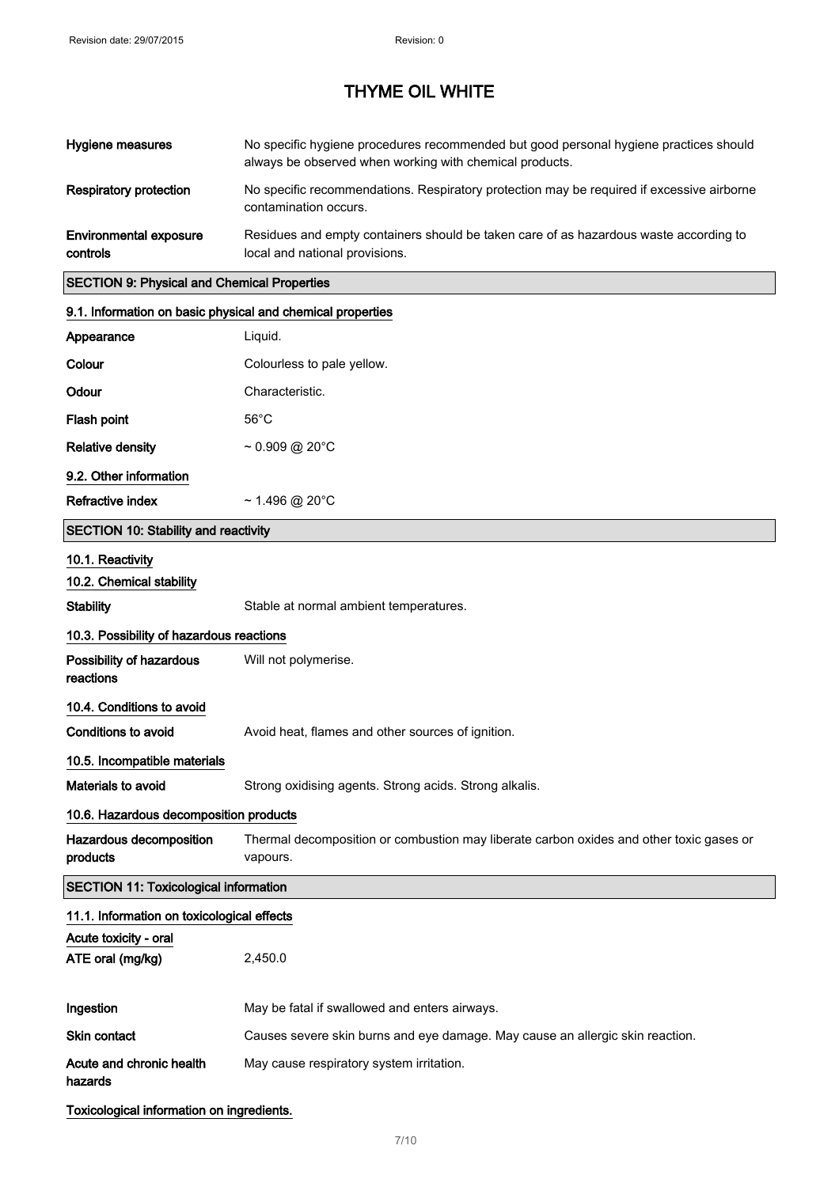| Hygiene measures                                   | No specific hygiene procedures recommended but good personal hygiene practices should<br>always be observed when working with chemical products. |
|----------------------------------------------------|--------------------------------------------------------------------------------------------------------------------------------------------------|
| Respiratory protection                             | No specific recommendations. Respiratory protection may be required if excessive airborne<br>contamination occurs.                               |
| <b>Environmental exposure</b><br>controls          | Residues and empty containers should be taken care of as hazardous waste according to<br>local and national provisions.                          |
| <b>SECTION 9: Physical and Chemical Properties</b> |                                                                                                                                                  |

# SECTION 9: Physical and Chemical Properties

| 9.1. Information on basic physical and chemical properties |                                                                                                     |  |
|------------------------------------------------------------|-----------------------------------------------------------------------------------------------------|--|
| Appearance                                                 | Liquid.                                                                                             |  |
| Colour                                                     | Colourless to pale yellow.                                                                          |  |
| Odour                                                      | Characteristic.                                                                                     |  |
| Flash point                                                | $56^{\circ}$ C                                                                                      |  |
| <b>Relative density</b>                                    | $\sim 0.909 \text{ @ } 20^{\circ} \text{C}$                                                         |  |
| 9.2. Other information                                     |                                                                                                     |  |
| Refractive index                                           | $\sim$ 1.496 @ 20°C                                                                                 |  |
| <b>SECTION 10: Stability and reactivity</b>                |                                                                                                     |  |
| 10.1. Reactivity                                           |                                                                                                     |  |
| 10.2. Chemical stability                                   |                                                                                                     |  |
| <b>Stability</b>                                           | Stable at normal ambient temperatures.                                                              |  |
| 10.3. Possibility of hazardous reactions                   |                                                                                                     |  |
| Possibility of hazardous<br>reactions                      | Will not polymerise.                                                                                |  |
| 10.4. Conditions to avoid                                  |                                                                                                     |  |
| <b>Conditions to avoid</b>                                 | Avoid heat, flames and other sources of ignition.                                                   |  |
| 10.5. Incompatible materials                               |                                                                                                     |  |
| Materials to avoid                                         | Strong oxidising agents. Strong acids. Strong alkalis.                                              |  |
| 10.6. Hazardous decomposition products                     |                                                                                                     |  |
| Hazardous decomposition<br>products                        | Thermal decomposition or combustion may liberate carbon oxides and other toxic gases or<br>vapours. |  |
| <b>SECTION 11: Toxicological information</b>               |                                                                                                     |  |
| 11.1. Information on toxicological effects                 |                                                                                                     |  |
| Acute toxicity - oral                                      |                                                                                                     |  |
| ATE oral (mg/kg)                                           | 2,450.0                                                                                             |  |
| Ingestion                                                  | May be fatal if swallowed and enters airways.                                                       |  |
| Skin contact                                               | Causes severe skin burns and eye damage. May cause an allergic skin reaction.                       |  |
| Acute and chronic health<br>hazards                        | May cause respiratory system irritation.                                                            |  |

Toxicological information on ingredients.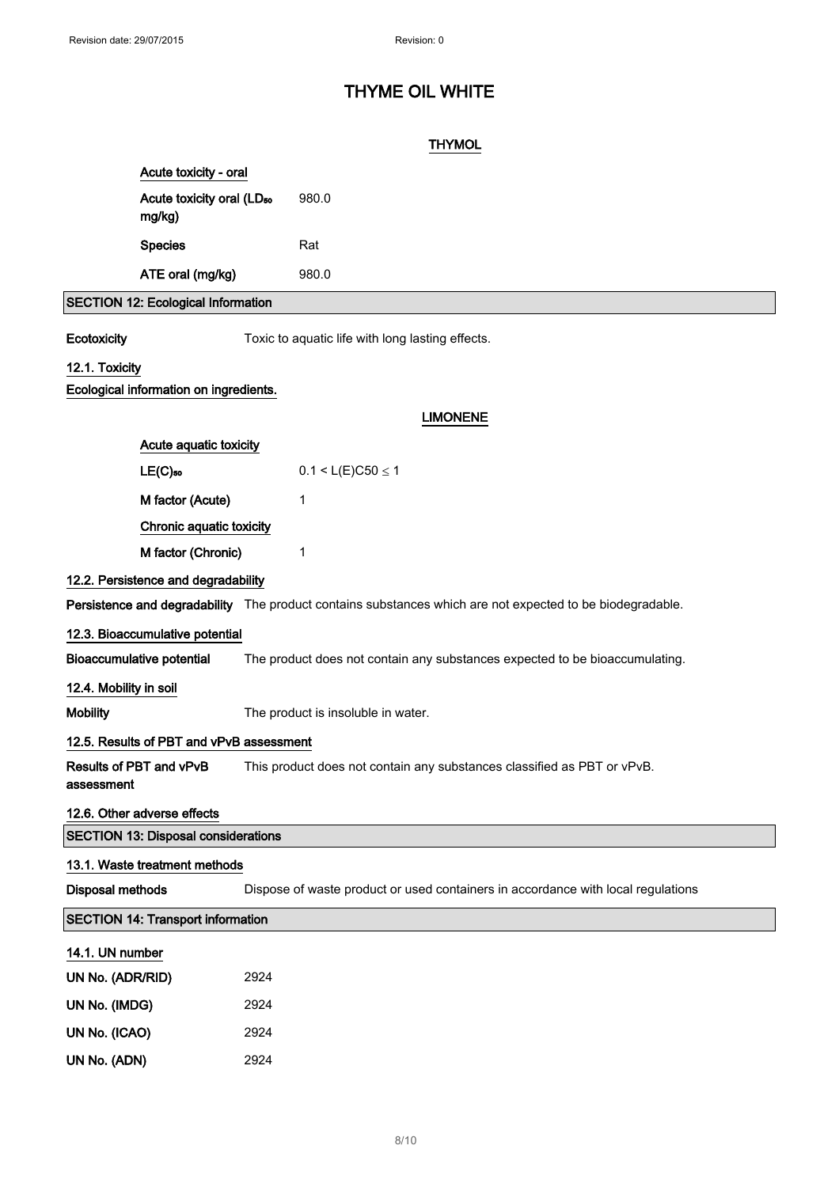## **THYMOL**

| Acute toxicity - oral                           |       |
|-------------------------------------------------|-------|
| Acute toxicity oral (LD <sub>50</sub><br>mg/kg) | 980.0 |
| <b>Species</b>                                  | Rat   |
| ATE oral (mg/kg)                                | 980.0 |
| <b>SECTION 12: Ecological Information</b>       |       |

Ecotoxicity Toxic to aquatic life with long lasting effects.

## 12.1. Toxicity

### Ecological information on ingredients.

### LIMONENE

| Acute aquatic toxicity              |                           |
|-------------------------------------|---------------------------|
| $LE(C)_{50}$                        | $0.1 < L(E)$ C50 $\leq$ 1 |
| M factor (Acute)                    | 1                         |
| Chronic aquatic toxicity            |                           |
| M factor (Chronic)                  | 1                         |
| 12.2. Persistence and degradability |                           |

Persistence and degradability The product contains substances which are not expected to be biodegradable.

#### 12.3. Bioaccumulative potential

Bioaccumulative potential The product does not contain any substances expected to be bioaccumulating.

### 12.4. Mobility in soil

assessment

Mobility The product is insoluble in water.

### 12.5. Results of PBT and vPvB assessment

Results of PBT and vPvB This product does not contain any substances classified as PBT or vPvB.

## 12.6. Other adverse effects

| <b>SECTION 13: Disposal considerations</b> |  |  |
|--------------------------------------------|--|--|
|                                            |  |  |

## 13.1. Waste treatment methods

Disposal methods Dispose of waste product or used containers in accordance with local regulations

### SECTION 14: Transport information

#### 14.1. UN number

| UN No. (ADR/RID) | 2924 |
|------------------|------|
| UN No. (IMDG)    | 2924 |
| UN No. (ICAO)    | 2924 |
| UN No. (ADN)     | 2924 |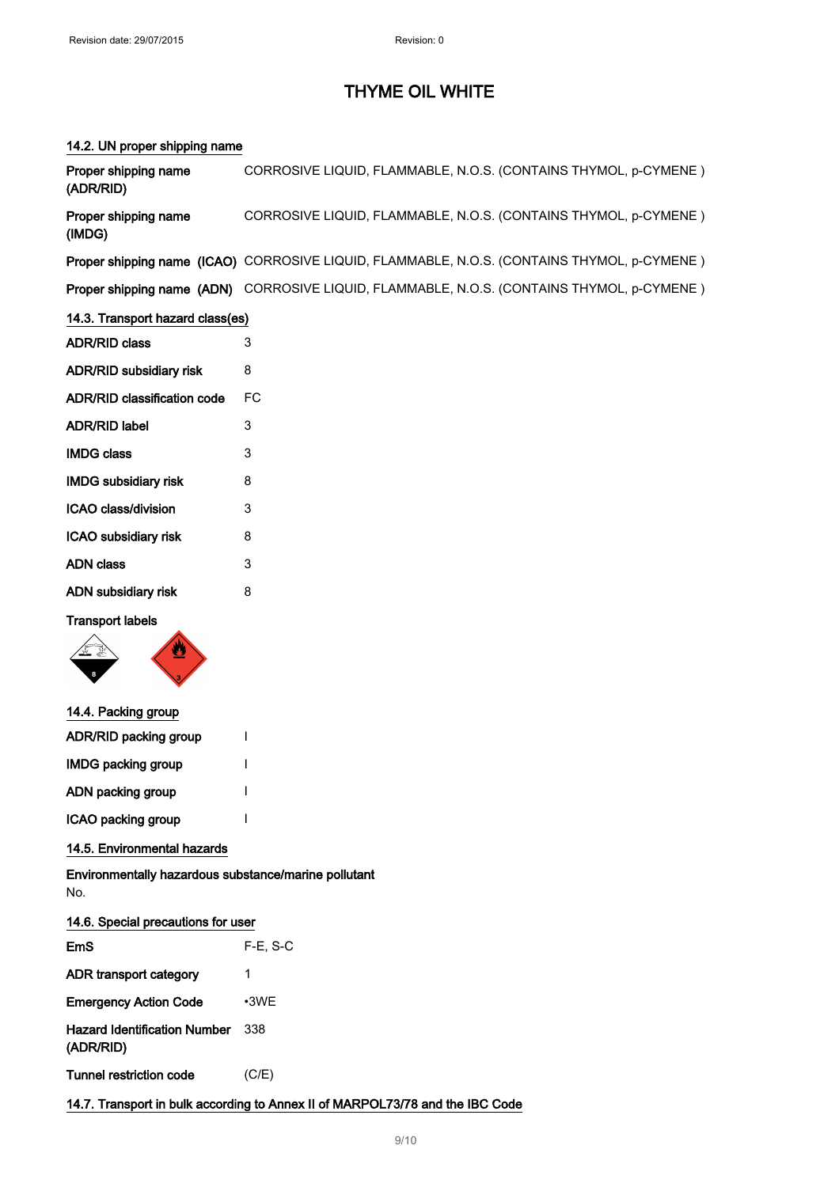## 14.2. UN proper shipping name

| Proper shipping name<br>(ADR/RID)                                             | CORROSIVE LIQUID, FLAMMABLE, N.O.S. (CONTAINS THYMOL, p-CYMENE)                             |  |
|-------------------------------------------------------------------------------|---------------------------------------------------------------------------------------------|--|
| Proper shipping name<br>(IMDG)                                                | CORROSIVE LIQUID, FLAMMABLE, N.O.S. (CONTAINS THYMOL, p-CYMENE)                             |  |
|                                                                               | Proper shipping name (ICAO) CORROSIVE LIQUID, FLAMMABLE, N.O.S. (CONTAINS THYMOL, p-CYMENE) |  |
|                                                                               | Proper shipping name (ADN) CORROSIVE LIQUID, FLAMMABLE, N.O.S. (CONTAINS THYMOL, p-CYMENE)  |  |
| 14.3. Transport hazard class(es)                                              |                                                                                             |  |
| <b>ADR/RID class</b>                                                          | 3                                                                                           |  |
| ADR/RID subsidiary risk                                                       | 8                                                                                           |  |
| <b>ADR/RID classification code</b>                                            | FC                                                                                          |  |
| <b>ADR/RID label</b>                                                          | 3                                                                                           |  |
| <b>IMDG class</b>                                                             | 3                                                                                           |  |
| <b>IMDG subsidiary risk</b>                                                   | 8                                                                                           |  |
| ICAO class/division                                                           | 3                                                                                           |  |
| ICAO subsidiary risk                                                          | 8                                                                                           |  |
| <b>ADN</b> class                                                              | 3                                                                                           |  |
| ADN subsidiary risk                                                           | 8                                                                                           |  |
| <b>Transport labels</b>                                                       |                                                                                             |  |
| 14.4. Packing group                                                           |                                                                                             |  |
| ADR/RID packing group                                                         | I                                                                                           |  |
| <b>IMDG packing group</b>                                                     | I                                                                                           |  |
| ADN packing group                                                             |                                                                                             |  |
| ICAO packing group                                                            |                                                                                             |  |
| 14.5. Environmental hazards                                                   |                                                                                             |  |
| Environmentally hazardous substance/marine pollutant<br>No.                   |                                                                                             |  |
| 14.6. Special precautions for user                                            |                                                                                             |  |
| <b>EmS</b>                                                                    | $F-E$ , S-C                                                                                 |  |
| ADR transport category                                                        | 1                                                                                           |  |
| <b>Emergency Action Code</b>                                                  | •3WE                                                                                        |  |
| <b>Hazard Identification Number</b><br>(ADR/RID)                              | 338                                                                                         |  |
| <b>Tunnel restriction code</b>                                                | (C/E)                                                                                       |  |
| 14.7. Transport in bulk according to Annex II of MARPOL73/78 and the IBC Code |                                                                                             |  |